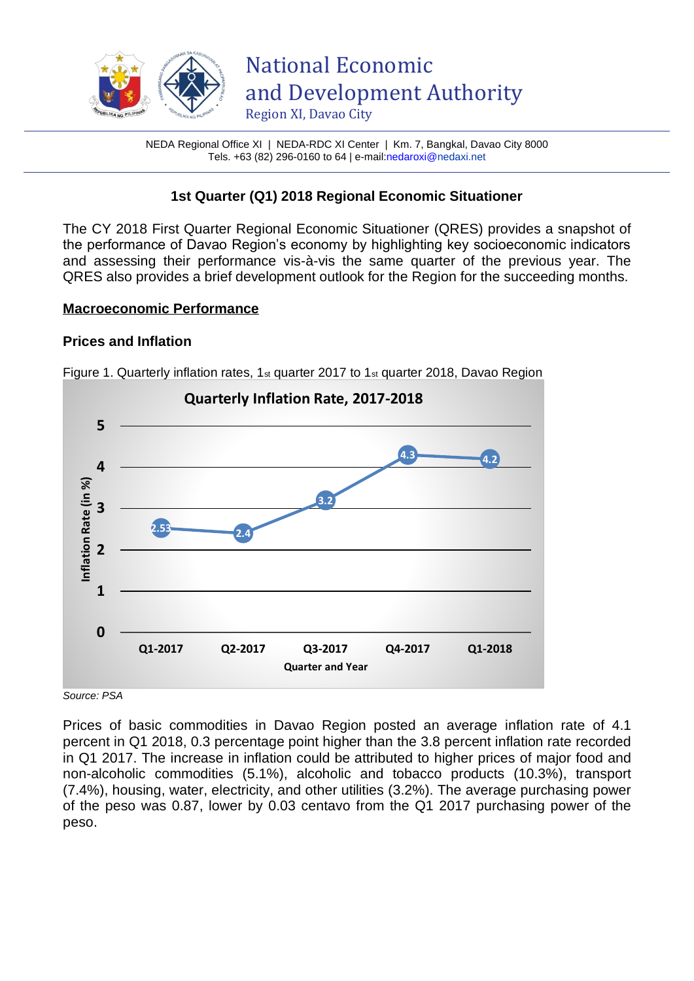

NEDA Regional Office XI | NEDA-RDC XI Center | Km. 7, Bangkal, Davao City 8000 Tels. +63 (82) 296-0160 to 64 | e-mai[l:nedaroxi@n](mailto:nedaroxi@)edaxi.net

## **1st Quarter (Q1) 2018 Regional Economic Situationer**

The CY 2018 First Quarter Regional Economic Situationer (QRES) provides a snapshot of the performance of Davao Region's economy by highlighting key socioeconomic indicators and assessing their performance vis-à-vis the same quarter of the previous year. The QRES also provides a brief development outlook for the Region for the succeeding months.

### **Macroeconomic Performance**

## **Prices and Inflation**



Figure 1. Quarterly inflation rates,  $1<sub>st</sub>$  quarter 2017 to  $1<sub>st</sub>$  quarter 2018, Davao Region

*Source: PSA* 

Prices of basic commodities in Davao Region posted an average inflation rate of 4.1 percent in Q1 2018, 0.3 percentage point higher than the 3.8 percent inflation rate recorded in Q1 2017. The increase in inflation could be attributed to higher prices of major food and non-alcoholic commodities (5.1%), alcoholic and tobacco products (10.3%), transport (7.4%), housing, water, electricity, and other utilities (3.2%). The average purchasing power of the peso was 0.87, lower by 0.03 centavo from the Q1 2017 purchasing power of the peso.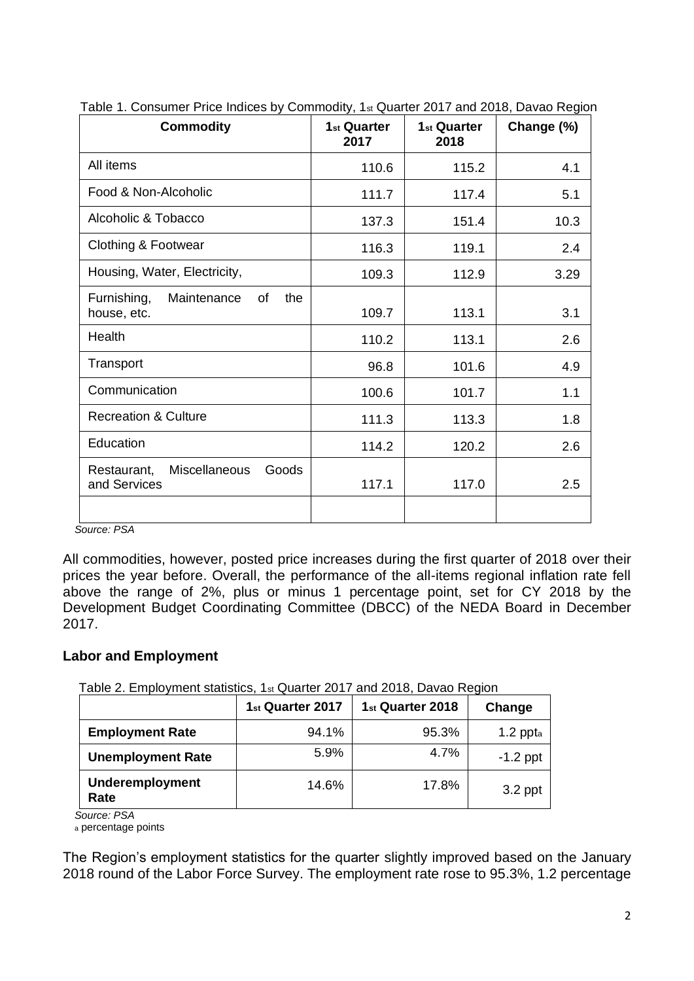| <b>Commodity</b>                                             | 1 <sub>st</sub> Quarter<br>2017 | 1 <sub>st</sub> Quarter<br>2018 | Change (%) |
|--------------------------------------------------------------|---------------------------------|---------------------------------|------------|
| All items                                                    | 110.6                           | 115.2                           | 4.1        |
| Food & Non-Alcoholic                                         | 111.7                           | 117.4                           | 5.1        |
| Alcoholic & Tobacco                                          | 137.3                           | 151.4                           | 10.3       |
| Clothing & Footwear                                          | 116.3                           | 119.1                           | 2.4        |
| Housing, Water, Electricity,                                 | 109.3                           | 112.9                           | 3.29       |
| Furnishing,<br>Maintenance<br>the<br>of<br>house, etc.       | 109.7                           | 113.1                           | 3.1        |
| Health                                                       | 110.2                           | 113.1                           | 2.6        |
| Transport                                                    | 96.8                            | 101.6                           | 4.9        |
| Communication                                                | 100.6                           | 101.7                           | 1.1        |
| <b>Recreation &amp; Culture</b>                              | 111.3                           | 113.3                           | 1.8        |
| Education                                                    | 114.2                           | 120.2                           | 2.6        |
| <b>Miscellaneous</b><br>Goods<br>Restaurant,<br>and Services | 117.1                           | 117.0                           | 2.5        |
|                                                              |                                 |                                 |            |

Table 1. Consumer Price Indices by Commodity, 1st Quarter 2017 and 2018, Davao Region

 *Source: PSA* 

All commodities, however, posted price increases during the first quarter of 2018 over their prices the year before. Overall, the performance of the all-items regional inflation rate fell above the range of 2%, plus or minus 1 percentage point, set for CY 2018 by the Development Budget Coordinating Committee (DBCC) of the NEDA Board in December 2017.

## **Labor and Employment**

Table 2. Employment statistics, 1st Quarter 2017 and 2018, Davao Region

|                                | 1 <sub>st</sub> Quarter 2017 | 1 <sub>st</sub> Quarter 2018 | Change      |
|--------------------------------|------------------------------|------------------------------|-------------|
| <b>Employment Rate</b>         | 94.1%                        | 95.3%                        | 1.2 $ppt_a$ |
| <b>Unemployment Rate</b>       | 5.9%                         | 4.7%                         | $-1.2$ ppt  |
| <b>Underemployment</b><br>Rate | 14.6%                        | 17.8%                        | 3.2 ppt     |

*Source: PSA* 

<sup>a</sup> percentage points

The Region's employment statistics for the quarter slightly improved based on the January 2018 round of the Labor Force Survey. The employment rate rose to 95.3%, 1.2 percentage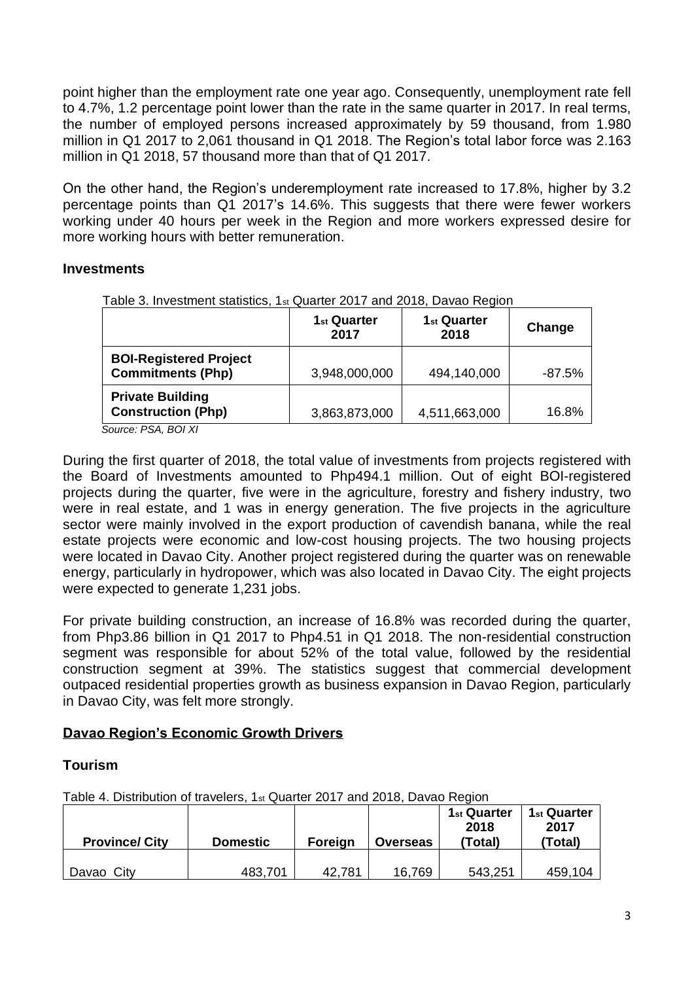point higher than the employment rate one year ago. Consequently, unemployment rate fell to 4.7%, 1.2 percentage point lower than the rate in the same quarter in 2017. In real terms, the number of employed persons increased approximately by 59 thousand, from 1.980 million in Q1 2017 to 2,061 thousand in Q1 2018. The Region's total labor force was 2.163 million in Q1 2018, 57 thousand more than that of Q1 2017.

On the other hand, the Region's underemployment rate increased to 17.8%, higher by 3.2 percentage points than Q1 2017's 14.6%. This suggests that there were fewer workers working under 40 hours per week in the Region and more workers expressed desire for more working hours with better remuneration.

### **Investments**

|                                                           | 1 <sub>st</sub> Quarter<br>2017 | 1 <sub>st</sub> Quarter<br>2018 | Change   |
|-----------------------------------------------------------|---------------------------------|---------------------------------|----------|
| <b>BOI-Registered Project</b><br><b>Commitments (Php)</b> | 3,948,000,000                   | 494,140,000                     | $-87.5%$ |
| <b>Private Building</b><br><b>Construction (Php)</b>      | 3,863,873,000                   | 4,511,663,000                   | 16.8%    |

Table 3. Investment statistics, 1st Quarter 2017 and 2018, Davao Region

*Source: PSA, BOI XI*

During the first quarter of 2018, the total value of investments from projects registered with the Board of Investments amounted to Php494.1 million. Out of eight BOI-registered projects during the quarter, five were in the agriculture, forestry and fishery industry, two were in real estate, and 1 was in energy generation. The five projects in the agriculture sector were mainly involved in the export production of cavendish banana, while the real estate projects were economic and low-cost housing projects. The two housing projects were located in Davao City. Another project registered during the quarter was on renewable energy, particularly in hydropower, which was also located in Davao City. The eight projects were expected to generate 1,231 jobs.

For private building construction, an increase of 16.8% was recorded during the quarter, from Php3.86 billion in Q1 2017 to Php4.51 in Q1 2018. The non-residential construction segment was responsible for about 52% of the total value, followed by the residential construction segment at 39%. The statistics suggest that commercial development outpaced residential properties growth as business expansion in Davao Region, particularly in Davao City, was felt more strongly.

## **Davao Region's Economic Growth Drivers**

#### **Tourism**

Table 4. Distribution of travelers, 1st Quarter 2017 and 2018, Davao Region

| <b>Province/ City</b> | <b>Domestic</b> | <b>Foreign</b> | <b>Overseas</b> | 1 <sub>st</sub> Quarter<br>2018<br>(Total) | 1 <sub>st</sub> Quarter<br>2017<br>(Total) |
|-----------------------|-----------------|----------------|-----------------|--------------------------------------------|--------------------------------------------|
| City<br>Davao         | 483,701         | 42,781         | 16,769          | 543,251                                    | 459,104                                    |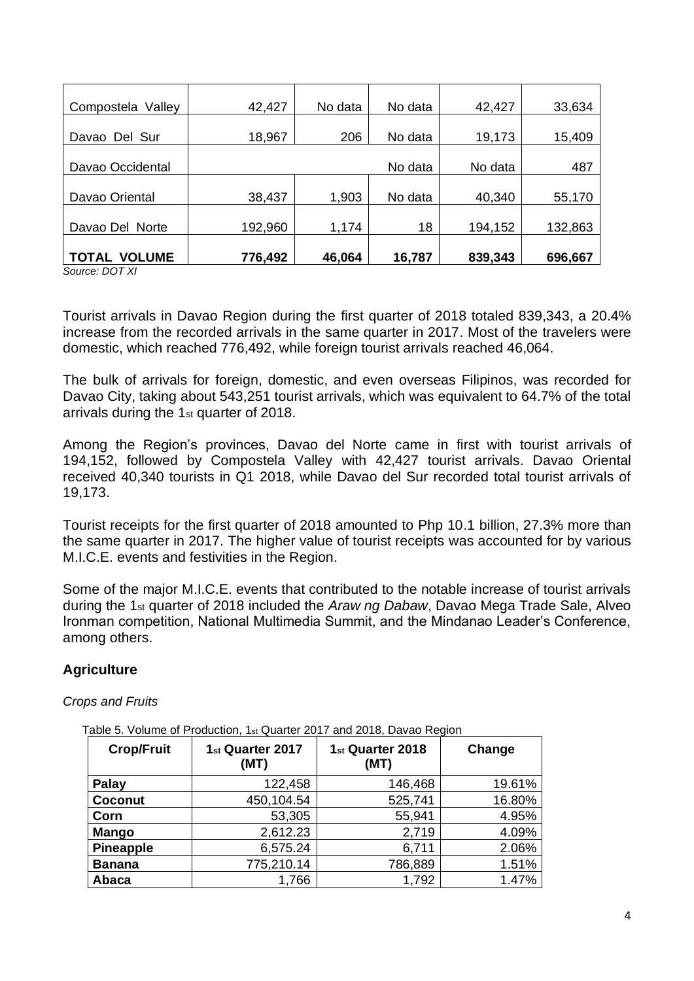| Compostela Valley             | 42,427  | No data | No data | 42,427  | 33,634  |
|-------------------------------|---------|---------|---------|---------|---------|
| Davao Del Sur                 | 18,967  | 206     | No data | 19,173  | 15,409  |
| Davao Occidental              |         |         | No data | No data | 487     |
| Davao Oriental                | 38,437  | 1,903   | No data | 40,340  | 55,170  |
| Davao Del Norte               | 192,960 | 1,174   | 18      | 194,152 | 132,863 |
| <b>VOLUME</b><br><b>TOTAL</b> | 776,492 | 46,064  | 16,787  | 839,343 | 696,667 |

*Source: DOT XI*

Tourist arrivals in Davao Region during the first quarter of 2018 totaled 839,343, a 20.4% increase from the recorded arrivals in the same quarter in 2017. Most of the travelers were domestic, which reached 776,492, while foreign tourist arrivals reached 46,064.

The bulk of arrivals for foreign, domestic, and even overseas Filipinos, was recorded for Davao City, taking about 543,251 tourist arrivals, which was equivalent to 64.7% of the total arrivals during the 1st quarter of 2018.

Among the Region's provinces, Davao del Norte came in first with tourist arrivals of 194,152, followed by Compostela Valley with 42,427 tourist arrivals. Davao Oriental received 40,340 tourists in Q1 2018, while Davao del Sur recorded total tourist arrivals of 19,173.

Tourist receipts for the first quarter of 2018 amounted to Php 10.1 billion, 27.3% more than the same quarter in 2017. The higher value of tourist receipts was accounted for by various M.I.C.E. events and festivities in the Region.

Some of the major M.I.C.E. events that contributed to the notable increase of tourist arrivals during the 1st quarter of 2018 included the *Araw ng Dabaw*, Davao Mega Trade Sale, Alveo Ironman competition, National Multimedia Summit, and the Mindanao Leader's Conference, among others.

## **Agriculture**

#### *Crops and Fruits*

| <b>Crop/Fruit</b> | 1 <sub>st</sub> Quarter 2017<br>(MT) | 1 <sub>st</sub> Quarter 2018<br>(MT) | Change |  |  |
|-------------------|--------------------------------------|--------------------------------------|--------|--|--|
| Palay             | 122,458                              | 146,468                              | 19.61% |  |  |
| Coconut           | 450,104.54                           | 525,741                              | 16.80% |  |  |
| Corn              | 53,305                               | 55,941                               | 4.95%  |  |  |
| <b>Mango</b>      | 2,612.23                             | 2,719                                | 4.09%  |  |  |
| <b>Pineapple</b>  | 6,575.24                             | 6,711                                | 2.06%  |  |  |
| <b>Banana</b>     | 775,210.14                           | 786,889                              | 1.51%  |  |  |
| Abaca             | 1,766                                | 1,792                                | 1.47%  |  |  |

Table 5. Volume of Production, 1st Quarter 2017 and 2018, Davao Region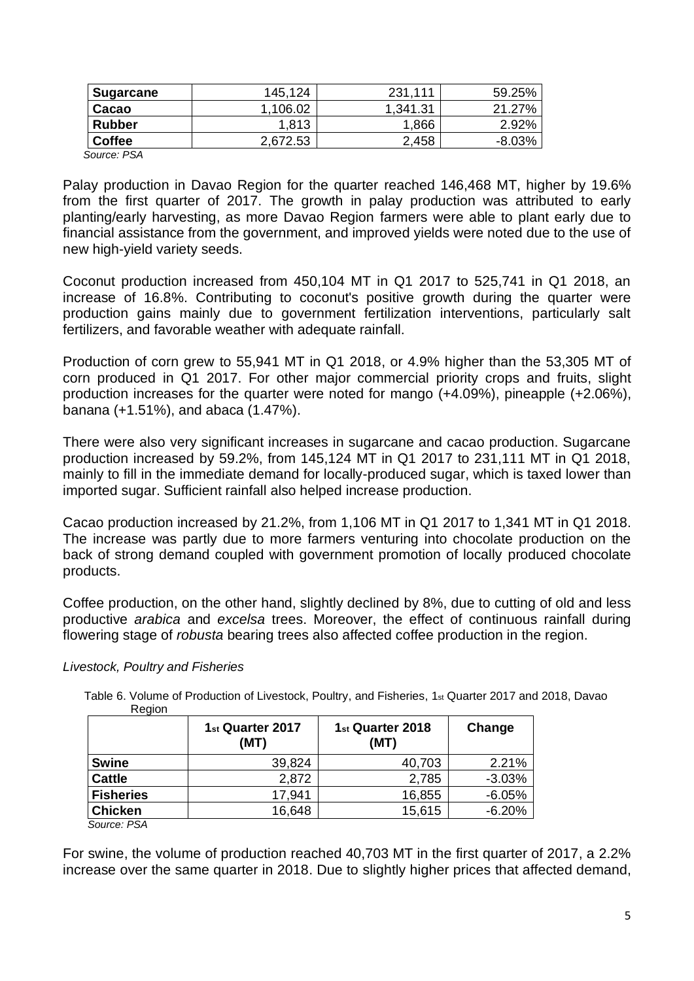| <b>Sugarcane</b> | 145.124  | 231.111  | 59.25%   |
|------------------|----------|----------|----------|
| Cacao            | 1,106.02 | 1.341.31 | 21.27%   |
| <b>Rubber</b>    | 1.813    | 1,866    | 2.92%    |
| <b>Coffee</b>    | 2,672.53 | 2,458    | $-8.03%$ |
| Source: PSA      |          |          |          |

Palay production in Davao Region for the quarter reached 146,468 MT, higher by 19.6% from the first quarter of 2017. The growth in palay production was attributed to early planting/early harvesting, as more Davao Region farmers were able to plant early due to financial assistance from the government, and improved yields were noted due to the use of new high-yield variety seeds.

Coconut production increased from 450,104 MT in Q1 2017 to 525,741 in Q1 2018, an increase of 16.8%. Contributing to coconut's positive growth during the quarter were production gains mainly due to government fertilization interventions, particularly salt fertilizers, and favorable weather with adequate rainfall.

Production of corn grew to 55,941 MT in Q1 2018, or 4.9% higher than the 53,305 MT of corn produced in Q1 2017. For other major commercial priority crops and fruits, slight production increases for the quarter were noted for mango (+4.09%), pineapple (+2.06%), banana (+1.51%), and abaca (1.47%).

There were also very significant increases in sugarcane and cacao production. Sugarcane production increased by 59.2%, from 145,124 MT in Q1 2017 to 231,111 MT in Q1 2018, mainly to fill in the immediate demand for locally-produced sugar, which is taxed lower than imported sugar. Sufficient rainfall also helped increase production.

Cacao production increased by 21.2%, from 1,106 MT in Q1 2017 to 1,341 MT in Q1 2018. The increase was partly due to more farmers venturing into chocolate production on the back of strong demand coupled with government promotion of locally produced chocolate products.

Coffee production, on the other hand, slightly declined by 8%, due to cutting of old and less productive *arabica* and *excelsa* trees. Moreover, the effect of continuous rainfall during flowering stage of *robusta* bearing trees also affected coffee production in the region.

#### *Livestock, Poultry and Fisheries*

| Reaion | Table 6. Volume of Production of Livestock, Poultry, and Fisheries, 1 <sub>st</sub> Quarter 2017 and 2018, Davao |                   |        |  |
|--------|------------------------------------------------------------------------------------------------------------------|-------------------|--------|--|
|        | $1.00$ uartor 2017                                                                                               | $1.0$ uartor 2018 | Channa |  |

|                               | 1 <sub>st</sub> Quarter 2017<br>(MT) | 1 <sub>st</sub> Quarter 2018<br>(MT) | Change   |
|-------------------------------|--------------------------------------|--------------------------------------|----------|
| <b>Swine</b>                  | 39,824                               | 40,703                               | 2.21%    |
| <b>Cattle</b>                 | 2,872                                | 2,785                                | $-3.03%$ |
| <b>Fisheries</b>              | 17,941                               | 16,855                               | $-6.05%$ |
| <b>Chicken</b>                | 16,648                               | 15,615                               | $-6.20%$ |
| $C_{\text{out}}$ $\sim$ $DCA$ |                                      |                                      |          |

 *Source: PSA* 

For swine, the volume of production reached 40,703 MT in the first quarter of 2017, a 2.2% increase over the same quarter in 2018. Due to slightly higher prices that affected demand,